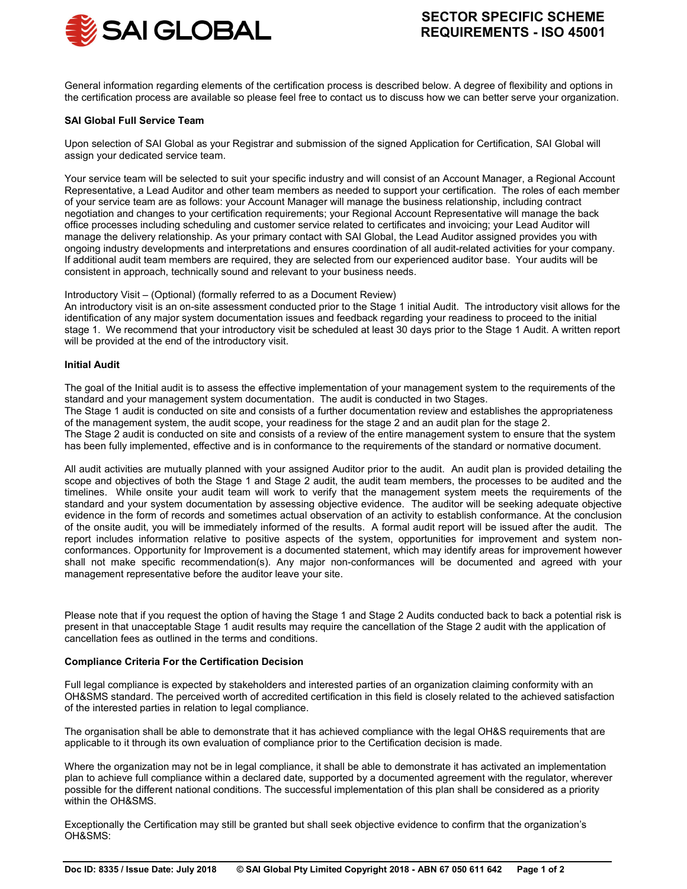

General information regarding elements of the certification process is described below. A degree of flexibility and options in the certification process are available so please feel free to contact us to discuss how we can better serve your organization.

# **SAI Global Full Service Team**

Upon selection of SAI Global as your Registrar and submission of the signed Application for Certification, SAI Global will assign your dedicated service team.

Your service team will be selected to suit your specific industry and will consist of an Account Manager, a Regional Account Representative, a Lead Auditor and other team members as needed to support your certification. The roles of each member of your service team are as follows: your Account Manager will manage the business relationship, including contract negotiation and changes to your certification requirements; your Regional Account Representative will manage the back office processes including scheduling and customer service related to certificates and invoicing; your Lead Auditor will manage the delivery relationship. As your primary contact with SAI Global, the Lead Auditor assigned provides you with ongoing industry developments and interpretations and ensures coordination of all audit-related activities for your company. If additional audit team members are required, they are selected from our experienced auditor base. Your audits will be consistent in approach, technically sound and relevant to your business needs.

#### Introductory Visit – (Optional) (formally referred to as a Document Review)

An introductory visit is an on-site assessment conducted prior to the Stage 1 initial Audit. The introductory visit allows for the identification of any major system documentation issues and feedback regarding your readiness to proceed to the initial stage 1. We recommend that your introductory visit be scheduled at least 30 days prior to the Stage 1 Audit. A written report will be provided at the end of the introductory visit.

### **Initial Audit**

The goal of the Initial audit is to assess the effective implementation of your management system to the requirements of the standard and your management system documentation. The audit is conducted in two Stages. The Stage 1 audit is conducted on site and consists of a further documentation review and establishes the appropriateness of the management system, the audit scope, your readiness for the stage 2 and an audit plan for the stage 2. The Stage 2 audit is conducted on site and consists of a review of the entire management system to ensure that the system has been fully implemented, effective and is in conformance to the requirements of the standard or normative document.

All audit activities are mutually planned with your assigned Auditor prior to the audit. An audit plan is provided detailing the scope and objectives of both the Stage 1 and Stage 2 audit, the audit team members, the processes to be audited and the timelines. While onsite your audit team will work to verify that the management system meets the requirements of the standard and your system documentation by assessing objective evidence. The auditor will be seeking adequate objective evidence in the form of records and sometimes actual observation of an activity to establish conformance. At the conclusion of the onsite audit, you will be immediately informed of the results. A formal audit report will be issued after the audit. The report includes information relative to positive aspects of the system, opportunities for improvement and system nonconformances. Opportunity for Improvement is a documented statement, which may identify areas for improvement however shall not make specific recommendation(s). Any major non-conformances will be documented and agreed with your management representative before the auditor leave your site.

Please note that if you request the option of having the Stage 1 and Stage 2 Audits conducted back to back a potential risk is present in that unacceptable Stage 1 audit results may require the cancellation of the Stage 2 audit with the application of cancellation fees as outlined in the terms and conditions.

# **Compliance Criteria For the Certification Decision**

Full legal compliance is expected by stakeholders and interested parties of an organization claiming conformity with an OH&SMS standard. The perceived worth of accredited certification in this field is closely related to the achieved satisfaction of the interested parties in relation to legal compliance.

The organisation shall be able to demonstrate that it has achieved compliance with the legal OH&S requirements that are applicable to it through its own evaluation of compliance prior to the Certification decision is made.

Where the organization may not be in legal compliance, it shall be able to demonstrate it has activated an implementation plan to achieve full compliance within a declared date, supported by a documented agreement with the regulator, wherever possible for the different national conditions. The successful implementation of this plan shall be considered as a priority within the OH&SMS.

Exceptionally the Certification may still be granted but shall seek objective evidence to confirm that the organization's OH&SMS: